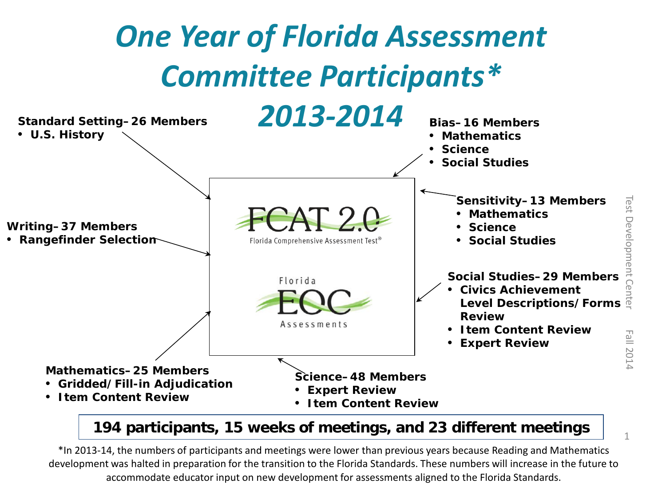

## **194 participants, 15 weeks of meetings, and 23 different meetings**

\*In 2013-14, the numbers of participants and meetings were lower than previous years because Reading and Mathematics development was halted in preparation for the transition to the Florida Standards. These numbers will increase in the future to accommodate educator input on new development for assessments aligned to the Florida Standards.

1